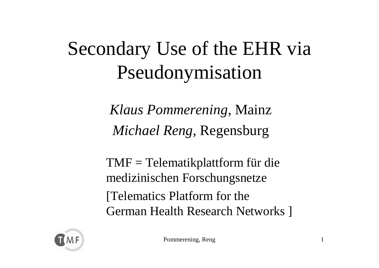### Secondary Use of the EHR via Pseudonymisation

*Klaus Pommerening*, Mainz *Michael Reng*, Regensburg

TMF = Telematikplattform für die medizinischen Forschungsnetze [Telematics Platform for the German Health Research Networks ]

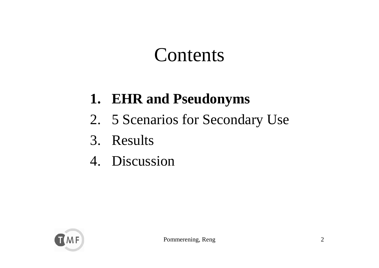#### Contents

#### **1. EHR and Pseudonyms**

- 2. 5 Scenarios for Secondary Use
- 3. Results
- 4. Discussion

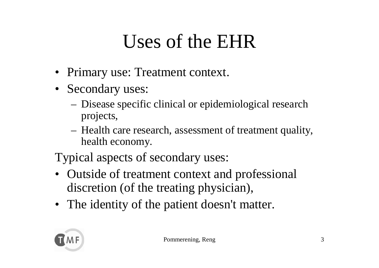#### Uses of the EHR

- Primary use: Treatment context.
- Secondary uses:
	- Disease specific clinical or epidemiological research projects,
	- Health care research, assessment of treatment quality, health economy.

Typical aspects of secondary uses:

- Outside of treatment context and professional discretion (of the treating physician),
- The identity of the patient doesn't matter.

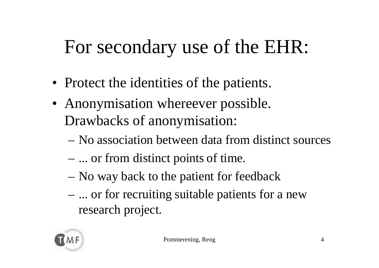### For secondary use of the EHR:

- Protect the identities of the patients.
- Anonymisation whereever possible. Drawbacks of anonymisation:
	- No association between data from distinct sources
	- ... or from distinct points of time.
	- –– No way back to the patient for feedback
	- ... or for recruiting suitable patients for a new research project.

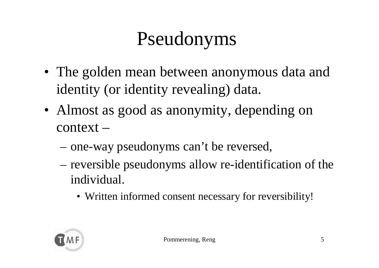### Pseudonyms

- The golden mean between anonymous data and identity (or identity revealing) data.
- Almost as good as anonymity, depending on context –
	- –one-way pseudonyms can't be reversed,
	- –– reversible pseudonyms allow re-identification of the individual.
		- Written informed consent necessary for reversibility!

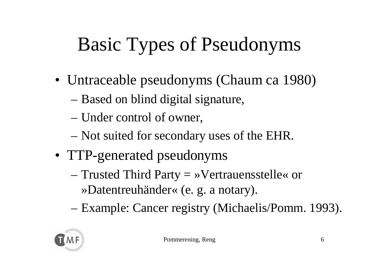# Basic Types of Pseudonyms

- Untraceable pseudonyms (Chaum ca 1980)
	- –Based on blind digital signature,
	- –Under control of owner,
	- **Links of the Common** – Not suited for secondary uses of the EHR.
- TTP-generated pseudonyms
	- – $-$  Trusted Third Party  $=$  »Vertrauensstelle« or »Datentreuhänder« (e. g. a notary).
	- –Example: Cancer registry (Michaelis/Pomm. 1993).

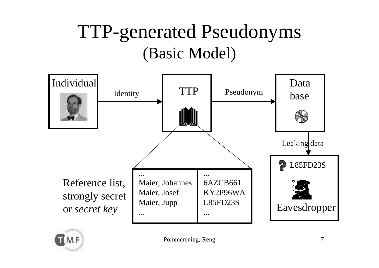#### TTP-generated Pseudonyms (Basic Model)



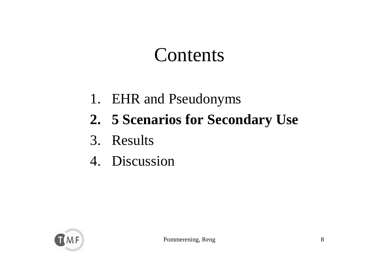#### Contents

- 1. EHR and Pseudonyms
- **2. 5 Scenarios for Secondary Use**
- 3. Results
- 4. Discussion

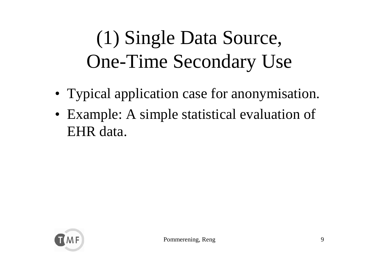### (1) Single Data Source, One-Time Secondary Use

- Typical application case for anonymisation.
- Example: A simple statistical evaluation of EHR data.

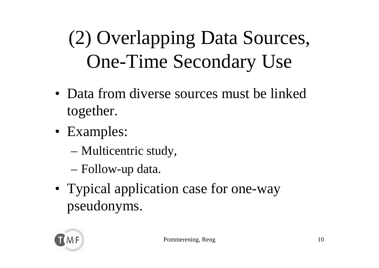# (2) Overlapping Data Sources, One-Time Secondary Use

- Data from diverse sources must be linked together.
- Examples:
	- –Multicentric study,
	- –Follow-up data.
- Typical application case for one-way pseudonyms.

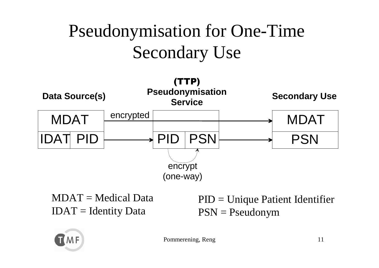#### Pseudonymisation for One-Time Secondary Use



MDAT = Medical Data $IDAT = Identity Data$ 

PID = Unique Patient Identifier PSN = Pseudonym



Pommerening, Reng 11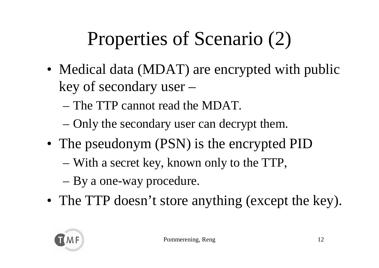# Properties of Scenario (2)

- Medical data (MDAT) are encrypted with public key of secondary user –
	- The TTP cannot read the MDAT.
	- –Only the secondary user can decrypt them.
- The pseudonym (PSN) is the encrypted PID
	- –With a secret key, known only to the TTP,
	- –By a one-way procedure.
- The TTP doesn't store anything (except the key).

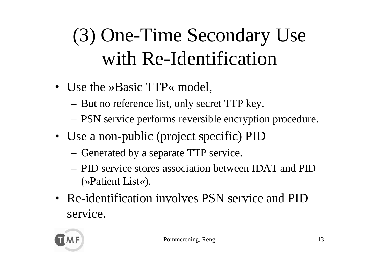# (3) One-Time Secondary Use with Re-Identification

- Use the »Basic TTP« model,
	- $-$  But no reference list, only secret TTP key.
	- PSN service performs reversible encryption procedure.
- Use a non-public (project specific) PID
	- Generated by a separate TTP service.
	- PID service stores association between IDAT and PID (»Patient List«).
- Re-identification involves PSN service and PID service.

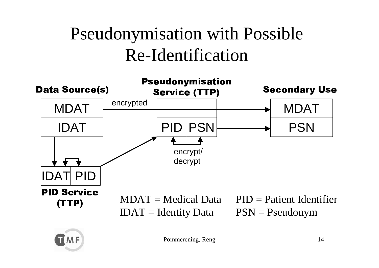#### Pseudonymisation with Possible Re-Identification



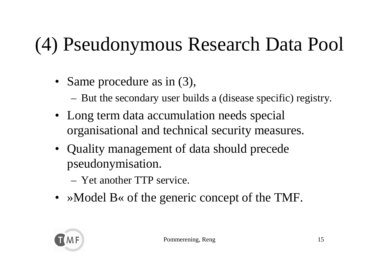# (4) Pseudonymous Research Data Pool

- Same procedure as in (3),
	- But the secondary user builds a (disease specific) registry.
- Long term data accumulation needs special organisational and technical security measures.
- Quality management of data should precede pseudonymisation.
	- Yet another TTP service.
- »Model B« of the generic concept of the TMF.

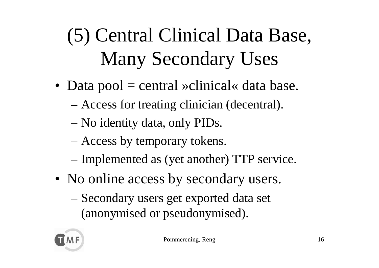# (5) Central Clinical Data Base, Many Secondary Uses

- Data pool = central »clinical« data base.
	- –Access for treating clinician (decentral).
	- –No identity data, only PIDs.
	- **Links of the Common** Access by temporary tokens.
	- –– Implemented as (yet another) TTP service.
- No online access by secondary users.
	- – Secondary users get exported data set (anonymised or pseudonymised).

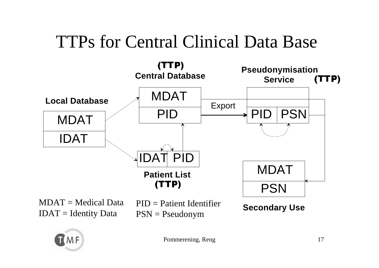#### TTPs for Central Clinical Data Base



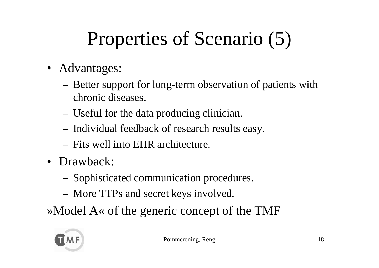# Properties of Scenario (5)

- Advantages:
	- Better support for long-term observation of patients with chronic diseases.
	- Useful for the data producing clinician.
	- $-$  Individual feedback of research results easy.
	- Fits well into EHR architecture.
- Drawback:
	- Sophisticated communication procedures.
	- More TTPs and secret keys involved.

»Model A« of the generic concept of the TMF

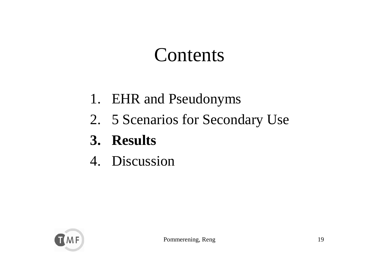#### Contents

- 1. EHR and Pseudonyms
- 2. 5 Scenarios for Secondary Use
- **3. Results**
- 4. Discussion

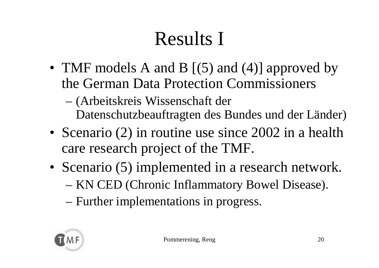## Results I

- TMF models A and B [(5) and (4)] approved by the German Data Protection Commissioners
	- – (Arbeitskreis Wissenschaft der Datenschutzbeauftragten des Bundes und der Länder)
- Scenario (2) in routine use since 2002 in a health care research project of the TMF.
- Scenario (5) implemented in a research network. – KN CED (Chronic Inflammatory Bowel Disease).
	- –Further implementations in progress.

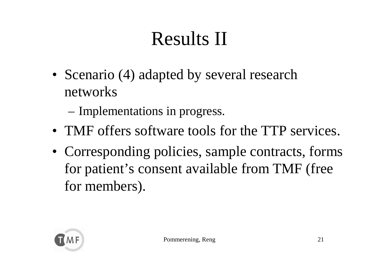### Results II

- Scenario (4) adapted by several research networks
	- –– Implementations in progress.
- TMF offers software tools for the TTP services.
- Corresponding policies, sample contracts, forms for patient's consent available from TMF (free for members).

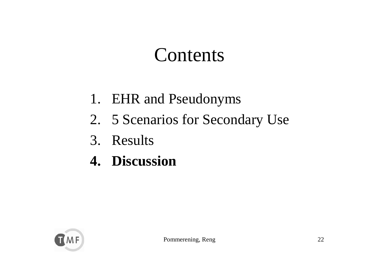#### Contents

- 1. EHR and Pseudonyms
- 2. 5 Scenarios for Secondary Use
- 3. Results
- **4. Discussion**

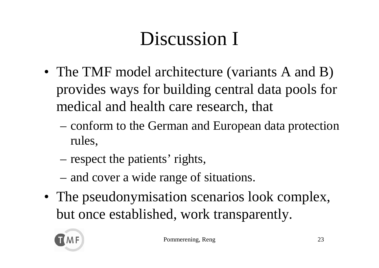# Discussion I

- The TMF model architecture (variants A and B) provides ways for building central data pools for medical and health care research, that
	- conform to the German and European data protection rules,
	- –– respect the patients' rights,
	- –– and cover a wide range of situations.
- The pseudonymisation scenarios look complex, but once established, work transparently.